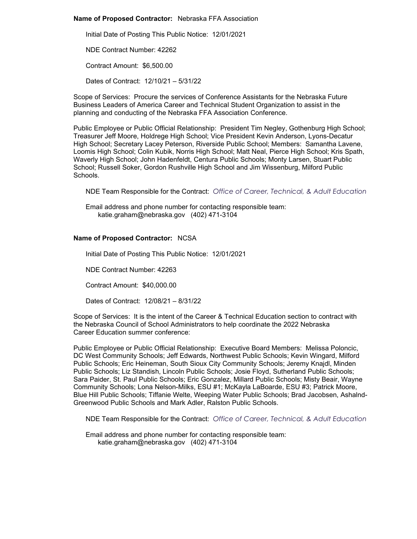### **Name of Proposed Contractor:** Nebraska FFA Association

Initial Date of Posting This Public Notice: 12/01/2021

NDE Contract Number: 42262

Contract Amount: \$6,500.00

Dates of Contract: 12/10/21 – 5/31/22

Scope of Services: Procure the services of Conference Assistants for the Nebraska Future Business Leaders of America Career and Technical Student Organization to assist in the planning and conducting of the Nebraska FFA Association Conference.

Public Employee or Public Official Relationship: President Tim Negley, Gothenburg High School; Treasurer Jeff Moore, Holdrege High School; Vice President Kevin Anderson, Lyons-Decatur High School; Secretary Lacey Peterson, Riverside Public School; Members: Samantha Lavene, Loomis High School; Colin Kubik, Norris High School; Matt Neal, Pierce High School; Kris Spath, Waverly High School; John Hadenfeldt, Centura Public Schools; Monty Larsen, Stuart Public School; Russell Soker, Gordon Rushville High School and Jim Wissenburg, Milford Public Schools.

NDE Team Responsible for the Contract: *Office of Career, Technical, & Adult Education*

Email address and phone number for contacting responsible team: katie.graham@nebraska.gov (402) 471-3104

# **Name of Proposed Contractor:** NCSA

Initial Date of Posting This Public Notice: 12/01/2021

NDE Contract Number: 42263

Contract Amount: \$40,000.00

Dates of Contract: 12/08/21 – 8/31/22

Scope of Services: It is the intent of the Career & Technical Education section to contract with the Nebraska Council of School Administrators to help coordinate the 2022 Nebraska Career Education summer conference:

Public Employee or Public Official Relationship: Executive Board Members: Melissa Poloncic, DC West Community Schools; Jeff Edwards, Northwest Public Schools; Kevin Wingard, Milford Public Schools; Eric Heineman, South Sioux City Community Schools; Jeremy Knajdl, Minden Public Schools; Liz Standish, Lincoln Public Schools; Josie Floyd, Sutherland Public Schools; Sara Paider, St. Paul Public Schools; Eric Gonzalez, Millard Public Schools; Misty Beair, Wayne Community Schools; Lona Nelson-Milks, ESU #1; McKayla LaBoarde, ESU #3; Patrick Moore, Blue Hill Public Schools; Tiffanie Welte, Weeping Water Public Schools; Brad Jacobsen, Ashalnd-Greenwood Public Schools and Mark Adler, Ralston Public Schools.

NDE Team Responsible for the Contract: *Office of Career, Technical, & Adult Education*

Email address and phone number for contacting responsible team: katie.graham@nebraska.gov (402) 471-3104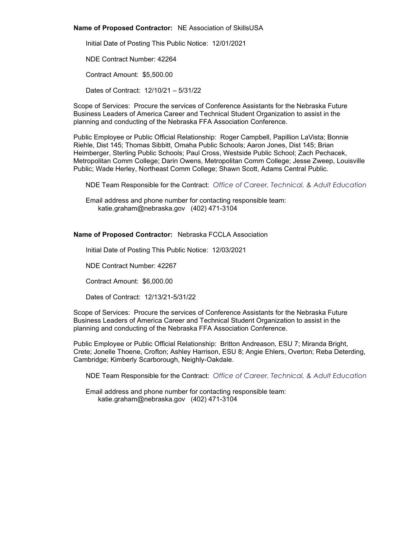#### **Name of Proposed Contractor:** NE Association of SkillsUSA

Initial Date of Posting This Public Notice: 12/01/2021 NDE Contract Number: 42264 Contract Amount: \$5,500.00 Dates of Contract: 12/10/21 – 5/31/22

Scope of Services: Procure the services of Conference Assistants for the Nebraska Future Business Leaders of America Career and Technical Student Organization to assist in the planning and conducting of the Nebraska FFA Association Conference.

Public Employee or Public Official Relationship: Roger Campbell, Papillion LaVista; Bonnie Riehle, Dist 145; Thomas Sibbitt, Omaha Public Schools; Aaron Jones, Dist 145; Brian Heimberger, Sterling Public Schools; Paul Cross, Westside Public School; Zach Pechacek, Metropolitan Comm College; Darin Owens, Metropolitan Comm College; Jesse Zweep, Louisville Public; Wade Herley, Northeast Comm College; Shawn Scott, Adams Central Public.

NDE Team Responsible for the Contract: *Office of Career, Technical, & Adult Education*

Email address and phone number for contacting responsible team: katie.graham@nebraska.gov (402) 471-3104

### **Name of Proposed Contractor:** Nebraska FCCLA Association

Initial Date of Posting This Public Notice: 12/03/2021

NDE Contract Number: 42267

Contract Amount: \$6,000.00

Dates of Contract: 12/13/21-5/31/22

Scope of Services: Procure the services of Conference Assistants for the Nebraska Future Business Leaders of America Career and Technical Student Organization to assist in the planning and conducting of the Nebraska FFA Association Conference.

Public Employee or Public Official Relationship: Britton Andreason, ESU 7; Miranda Bright, Crete; Jonelle Thoene, Crofton; Ashley Harrison, ESU 8; Angie Ehlers, Overton; Reba Deterding, Cambridge; Kimberly Scarborough, Neighly-Oakdale.

NDE Team Responsible for the Contract: *Office of Career, Technical, & Adult Education*

Email address and phone number for contacting responsible team: katie.graham@nebraska.gov (402) 471-3104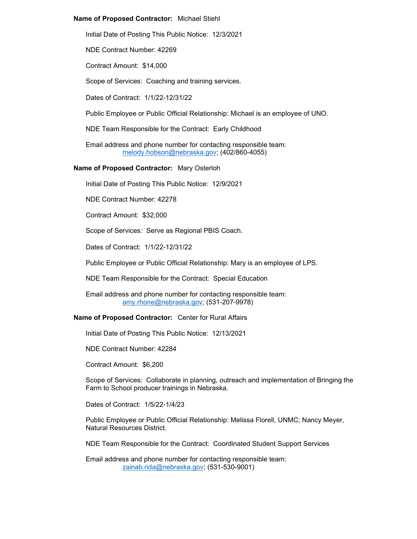### **Name of Proposed Contractor:** Michael Stiehl

Initial Date of Posting This Public Notice: 12/3/2021

NDE Contract Number: 42269

Contract Amount: \$14,000

Scope of Services: Coaching and training services.

Dates of Contract: 1/1/22-12/31/22

Public Employee or Public Official Relationship: Michael is an employee of UNO.

NDE Team Responsible for the Contract: Early Childhood

Email address and phone number for contacting responsible team: [melody.hobson@nebraska.gov;](mailto:melody.hobson@nebraska.gov) (402/860-4055)

### **Name of Proposed Contractor:** Mary Osterloh

Initial Date of Posting This Public Notice: 12/9/2021

NDE Contract Number: 42278

Contract Amount: \$32,000

Scope of Services: Serve as Regional PBIS Coach.

Dates of Contract: 1/1/22-12/31/22

Public Employee or Public Official Relationship: Mary is an employee of LPS.

NDE Team Responsible for the Contract: Special Education

Email address and phone number for contacting responsible team: [amy.rhone@nebraska.gov;](mailto:amy.rhone@nebraska.gov) (531-207-9978)

#### **Name of Proposed Contractor:** Center for Rural Affairs

Initial Date of Posting This Public Notice: 12/13/2021

NDE Contract Number: 42284

Contract Amount: \$6,200

Scope of Services: Collaborate in planning, outreach and implementation of Bringing the Farm to School producer trainings in Nebraska.

Dates of Contract: 1/5/22-1/4/23

Public Employee or Public Official Relationship: Melissa Florell, UNMC; Nancy Meyer, Natural Resources District.

NDE Team Responsible for the Contract: Coordinated Student Support Services

Email address and phone number for contacting responsible team: [zainab.rida@nebraska.gov;](mailto:zainab.rida@nebraska.gov) (531-530-9001)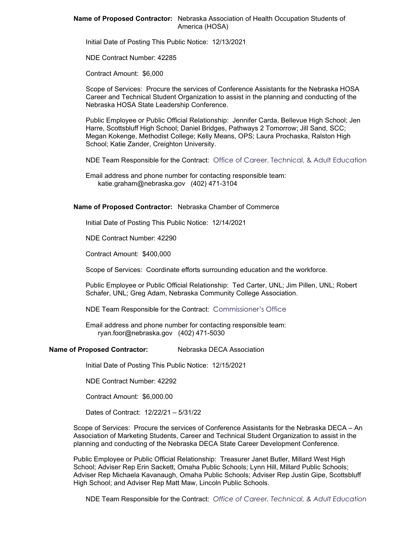**Name of Proposed Contractor:** Nebraska Association of Health Occupation Students of America (HOSA)

Initial Date of Posting This Public Notice: 12/13/2021

NDE Contract Number: 42285

Contract Amount: \$6,000

Scope of Services: Procure the services of Conference Assistants for the Nebraska HOSA Career and Technical Student Organization to assist in the planning and conducting of the Nebraska HOSA State Leadership Conference.

Public Employee or Public Official Relationship: Jennifer Carda, Bellevue High School; Jen Harre, Scottsbluff High School; Daniel Bridges, Pathways 2 Tomorrow; Jill Sand, SCC; Megan Kokenge, Methodist College; Kelly Means, OPS; Laura Prochaska, Ralston High School; Katie Zander, Creighton University.

NDE Team Responsible for the Contract: Office of Career, Technical, & Adult Education

Email address and phone number for contacting responsible team: katie.graham@nebraska.gov (402) 471-3104

#### **Name of Proposed Contractor:** Nebraska Chamber of Commerce

Initial Date of Posting This Public Notice: 12/14/2021

NDE Contract Number: 42290

Contract Amount: \$400,000

Scope of Services: Coordinate efforts surrounding education and the workforce.

Public Employee or Public Official Relationship: Ted Carter, UNL; Jim Pillen, UNL; Robert Schafer, UNL; Greg Adam, Nebraska Community College Association.

NDE Team Responsible for the Contract: Commissioner's Office

Email address and phone number for contacting responsible team: ryan.foor@nebraska.gov (402) 471-5030

#### **Name of Proposed Contractor:** Nebraska DECA Association

Initial Date of Posting This Public Notice: 12/15/2021

NDE Contract Number: 42292

Contract Amount: \$6,000.00

Dates of Contract: 12/22/21 – 5/31/22

Scope of Services: Procure the services of Conference Assistants for the Nebraska DECA – An Association of Marketing Students, Career and Technical Student Organization to assist in the planning and conducting of the Nebraska DECA State Career Development Conference.

Public Employee or Public Official Relationship: Treasurer Janet Butler, Millard West High School; Adviser Rep Erin Sackett, Omaha Public Schools; Lynn Hill, Millard Public Schools; Adviser Rep Michaela Kavanaugh, Omaha Public Schools; Adviser Rep Justin Gipe, Scottsbluff High School; and Adviser Rep Matt Maw, Lincoln Public Schools.

NDE Team Responsible for the Contract: *Office of Career, Technical, & Adult Education*